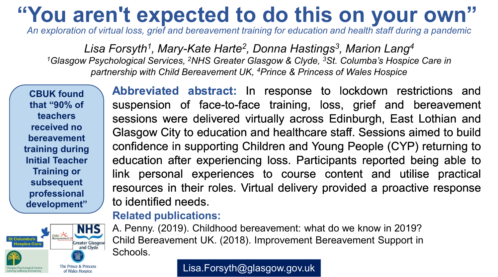# **"You aren't expected to do this on your own"**

*An exploration of virtual loss, grief and bereavement training for education and health staff during a pandemic*

Lisa Forsyth<sup>1</sup>, Mary-Kate Harte<sup>2</sup>, Donna Hastings<sup>3</sup>, Marion Lang<sup>4</sup> *1Glasgow Psychological Services, 2NHS Greater Glasgow & Clyde, 3St. Columba's Hospice Care in partnership with Child Bereavement UK, 4Prince & Princess of Wales Hospice*

**CBUK found that "90% of teachers received no bereavement training during Initial Teacher Training or subsequent professional development"**



**Abbreviated abstract:** In response to lockdown restrictions and suspension of face-to-face training, loss, grief and bereavement sessions were delivered virtually across Edinburgh, East Lothian and Glasgow City to education and healthcare staff. Sessions aimed to build confidence in supporting Children and Young People (CYP) returning to education after experiencing loss. Participants reported being able to link personal experiences to course content and utilise practical resources in their roles. Virtual delivery provided a proactive response to identified needs.

#### **Related publications:**

A. Penny. (2019). Childhood bereavement: what do we know in 2019? Child Bereavement UK. (2018). Improvement Bereavement Support in Schools.

Lisa.Forsyth@glasgow.gov.uk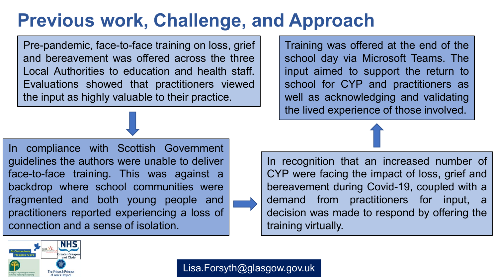## **Previous work, Challenge, and Approach**

Pre-pandemic, face-to-face training on loss, grief and bereavement was offered across the three Local Authorities to education and health staff. Evaluations showed that practitioners viewed the input as highly valuable to their practice.

In compliance with Scottish Government guidelines the authors were unable to deliver face-to-face training. This was against a backdrop where school communities were fragmented and both young people and practitioners reported experiencing a loss of connection and a sense of isolation.

Training was offered at the end of the school day via Microsoft Teams. The input aimed to support the return to school for CYP and practitioners as well as acknowledging and validating the lived experience of those involved.





Lisa.Forsyth@glasgow.gov.uk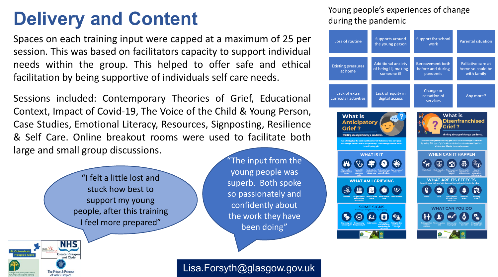## **Delivery and Content**

Spaces on each training input were capped at a maximum of 25 per session. This was based on facilitators capacity to support individual needs within the group. This helped to offer safe and ethical facilitation by being supportive of individuals self care needs.

Sessions included: Contemporary Theories of Grief, Educational Context, Impact of Covid-19, The Voice of the Child & Young Person, Case Studies, Emotional Literacy, Resources, Signposting, Resilience & Self Care. Online breakout rooms were used to facilitate both large and small group discussions.



The Prince & Princess of Wales Hospic

"The input from the young people was superb. Both spoke so passionately and confidently about the work they have been doing"

#### Lisa.Forsyth@glasgow.gov.uk

#### Young people's experiences of change during the pandemic